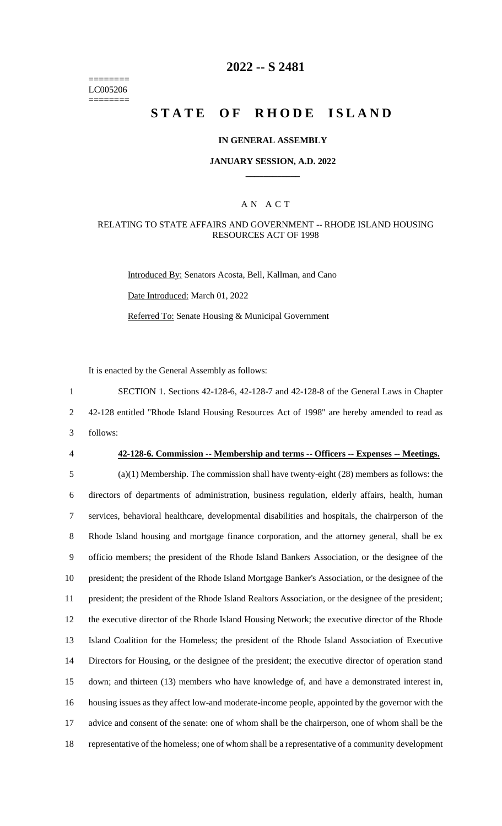======== LC005206 ========

# **2022 -- S 2481**

# **STATE OF RHODE ISLAND**

#### **IN GENERAL ASSEMBLY**

#### **JANUARY SESSION, A.D. 2022 \_\_\_\_\_\_\_\_\_\_\_\_**

#### A N A C T

#### RELATING TO STATE AFFAIRS AND GOVERNMENT -- RHODE ISLAND HOUSING RESOURCES ACT OF 1998

Introduced By: Senators Acosta, Bell, Kallman, and Cano Date Introduced: March 01, 2022 Referred To: Senate Housing & Municipal Government

It is enacted by the General Assembly as follows:

1 SECTION 1. Sections 42-128-6, 42-128-7 and 42-128-8 of the General Laws in Chapter 2 42-128 entitled "Rhode Island Housing Resources Act of 1998" are hereby amended to read as 3 follows:

#### 4 **42-128-6. Commission -- Membership and terms -- Officers -- Expenses -- Meetings.**

 (a)(1) Membership. The commission shall have twenty-eight (28) members as follows: the directors of departments of administration, business regulation, elderly affairs, health, human services, behavioral healthcare, developmental disabilities and hospitals, the chairperson of the Rhode Island housing and mortgage finance corporation, and the attorney general, shall be ex officio members; the president of the Rhode Island Bankers Association, or the designee of the president; the president of the Rhode Island Mortgage Banker's Association, or the designee of the president; the president of the Rhode Island Realtors Association, or the designee of the president; the executive director of the Rhode Island Housing Network; the executive director of the Rhode Island Coalition for the Homeless; the president of the Rhode Island Association of Executive Directors for Housing, or the designee of the president; the executive director of operation stand down; and thirteen (13) members who have knowledge of, and have a demonstrated interest in, housing issues as they affect low-and moderate-income people, appointed by the governor with the advice and consent of the senate: one of whom shall be the chairperson, one of whom shall be the representative of the homeless; one of whom shall be a representative of a community development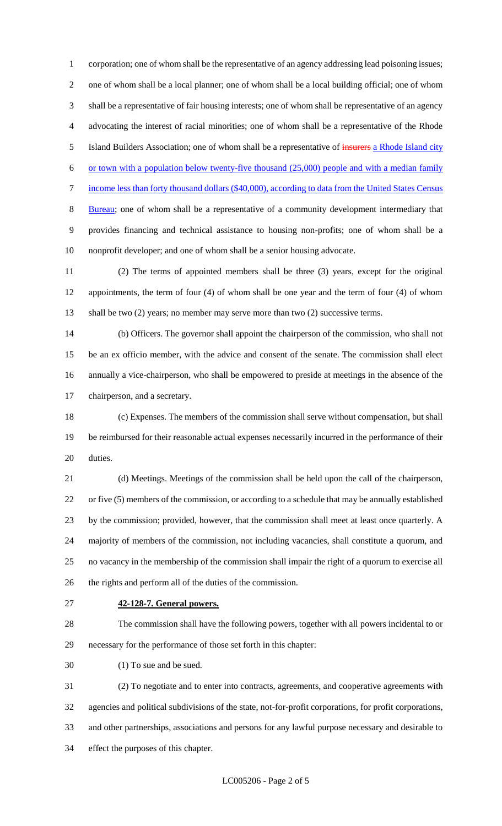corporation; one of whom shall be the representative of an agency addressing lead poisoning issues; one of whom shall be a local planner; one of whom shall be a local building official; one of whom shall be a representative of fair housing interests; one of whom shall be representative of an agency advocating the interest of racial minorities; one of whom shall be a representative of the Rhode 5 Island Builders Association; one of whom shall be a representative of insurers a Rhode Island city 6 or town with a population below twenty-five thousand  $(25,000)$  people and with a median family 7 income less than forty thousand dollars (\$40,000), according to data from the United States Census Bureau; one of whom shall be a representative of a community development intermediary that provides financing and technical assistance to housing non-profits; one of whom shall be a nonprofit developer; and one of whom shall be a senior housing advocate.

 (2) The terms of appointed members shall be three (3) years, except for the original appointments, the term of four (4) of whom shall be one year and the term of four (4) of whom 13 shall be two (2) years; no member may serve more than two (2) successive terms.

 (b) Officers. The governor shall appoint the chairperson of the commission, who shall not be an ex officio member, with the advice and consent of the senate. The commission shall elect annually a vice-chairperson, who shall be empowered to preside at meetings in the absence of the chairperson, and a secretary.

 (c) Expenses. The members of the commission shall serve without compensation, but shall be reimbursed for their reasonable actual expenses necessarily incurred in the performance of their duties.

 (d) Meetings. Meetings of the commission shall be held upon the call of the chairperson, or five (5) members of the commission, or according to a schedule that may be annually established by the commission; provided, however, that the commission shall meet at least once quarterly. A majority of members of the commission, not including vacancies, shall constitute a quorum, and no vacancy in the membership of the commission shall impair the right of a quorum to exercise all the rights and perform all of the duties of the commission.

#### **42-128-7. General powers.**

 The commission shall have the following powers, together with all powers incidental to or necessary for the performance of those set forth in this chapter:

(1) To sue and be sued.

 (2) To negotiate and to enter into contracts, agreements, and cooperative agreements with agencies and political subdivisions of the state, not-for-profit corporations, for profit corporations, and other partnerships, associations and persons for any lawful purpose necessary and desirable to effect the purposes of this chapter.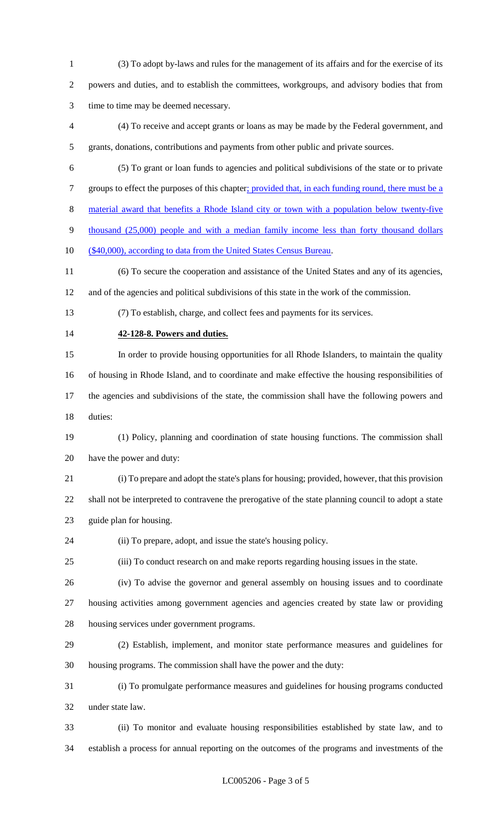(3) To adopt by-laws and rules for the management of its affairs and for the exercise of its powers and duties, and to establish the committees, workgroups, and advisory bodies that from time to time may be deemed necessary.

 (4) To receive and accept grants or loans as may be made by the Federal government, and grants, donations, contributions and payments from other public and private sources.

 (5) To grant or loan funds to agencies and political subdivisions of the state or to private 7 groups to effect the purposes of this chapter; provided that, in each funding round, there must be a

material award that benefits a Rhode Island city or town with a population below twenty-five

thousand (25,000) people and with a median family income less than forty thousand dollars

(\$40,000), according to data from the United States Census Bureau.

 (6) To secure the cooperation and assistance of the United States and any of its agencies, and of the agencies and political subdivisions of this state in the work of the commission.

(7) To establish, charge, and collect fees and payments for its services.

**42-128-8. Powers and duties.**

 In order to provide housing opportunities for all Rhode Islanders, to maintain the quality of housing in Rhode Island, and to coordinate and make effective the housing responsibilities of

 the agencies and subdivisions of the state, the commission shall have the following powers and duties:

 (1) Policy, planning and coordination of state housing functions. The commission shall have the power and duty:

 (i) To prepare and adopt the state's plans for housing; provided, however, that this provision shall not be interpreted to contravene the prerogative of the state planning council to adopt a state guide plan for housing.

(ii) To prepare, adopt, and issue the state's housing policy.

(iii) To conduct research on and make reports regarding housing issues in the state.

 (iv) To advise the governor and general assembly on housing issues and to coordinate housing activities among government agencies and agencies created by state law or providing housing services under government programs.

 (2) Establish, implement, and monitor state performance measures and guidelines for housing programs. The commission shall have the power and the duty:

 (i) To promulgate performance measures and guidelines for housing programs conducted under state law.

 (ii) To monitor and evaluate housing responsibilities established by state law, and to establish a process for annual reporting on the outcomes of the programs and investments of the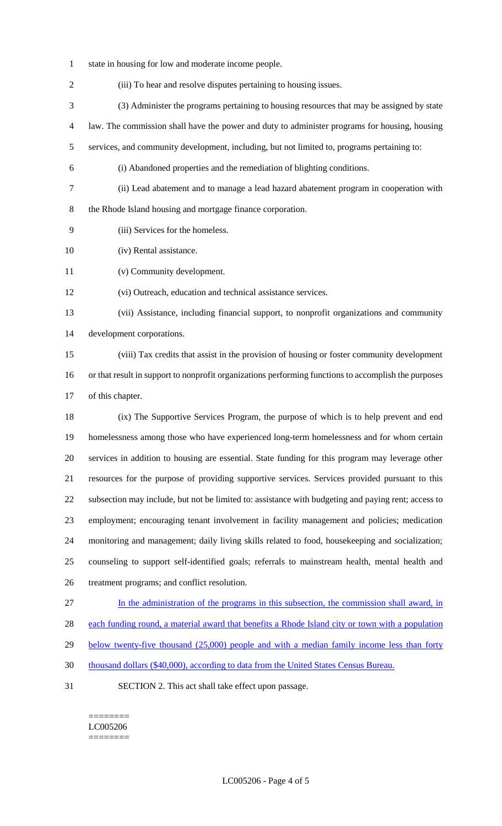- state in housing for low and moderate income people.
- (iii) To hear and resolve disputes pertaining to housing issues.
- (3) Administer the programs pertaining to housing resources that may be assigned by state
- law. The commission shall have the power and duty to administer programs for housing, housing
- services, and community development, including, but not limited to, programs pertaining to:
- 
- (i) Abandoned properties and the remediation of blighting conditions.
- (ii) Lead abatement and to manage a lead hazard abatement program in cooperation with
- 
- 

the Rhode Island housing and mortgage finance corporation.

- (iii) Services for the homeless.
- (iv) Rental assistance.
- (v) Community development.
- (vi) Outreach, education and technical assistance services.
- (vii) Assistance, including financial support, to nonprofit organizations and community development corporations.
- (viii) Tax credits that assist in the provision of housing or foster community development or that result in support to nonprofit organizations performing functions to accomplish the purposes of this chapter.
- (ix) The Supportive Services Program, the purpose of which is to help prevent and end homelessness among those who have experienced long-term homelessness and for whom certain services in addition to housing are essential. State funding for this program may leverage other resources for the purpose of providing supportive services. Services provided pursuant to this subsection may include, but not be limited to: assistance with budgeting and paying rent; access to employment; encouraging tenant involvement in facility management and policies; medication monitoring and management; daily living skills related to food, housekeeping and socialization; counseling to support self-identified goals; referrals to mainstream health, mental health and treatment programs; and conflict resolution.
- In the administration of the programs in this subsection, the commission shall award, in
- each funding round, a material award that benefits a Rhode Island city or town with a population
- 29 below twenty-five thousand (25,000) people and with a median family income less than forty
- thousand dollars (\$40,000), according to data from the United States Census Bureau.
- SECTION 2. This act shall take effect upon passage.

======== LC005206 ========